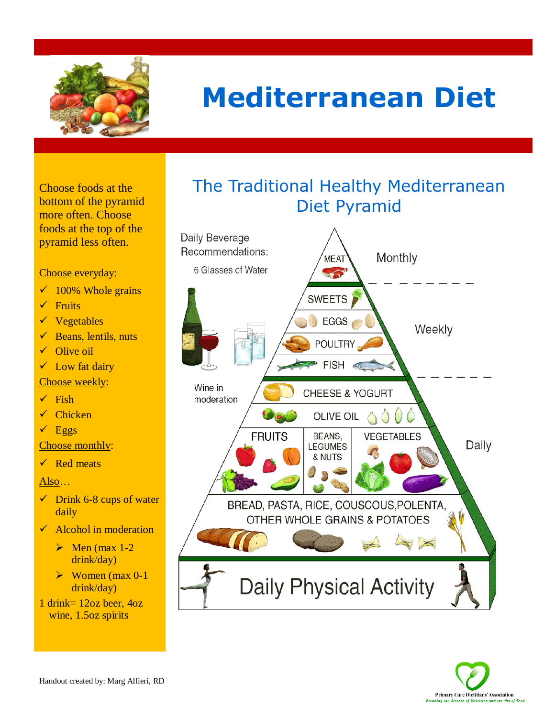

# **Mediterranean Diet**

Choose foods at the bottom of the pyramid more often. Choose foods at the top of the pyramid less often.

#### Choose everyday:

- $\checkmark$  100% Whole grains
- $\checkmark$  Fruits
- $\checkmark$  Vegetables
- $\checkmark$  Beans, lentils, nuts
- $\checkmark$  Olive oil
- $\checkmark$  Low fat dairy
- Choose weekly:
- $\checkmark$  Fish
- $\checkmark$  Chicken
- $\sqrt{\text{Eggs}}$

Choose monthly:

 $\checkmark$  Red meats

Also…

- $\checkmark$  Drink 6-8 cups of water daily
- $\checkmark$  Alcohol in moderation
	- $\triangleright$  Men (max 1-2) drink/day)
	- $\triangleright$  Women (max 0-1) drink/day)

1 drink= 12oz beer, 4oz wine, 1.5oz spirits

## The Traditional Healthy Mediterranean Diet Pyramid



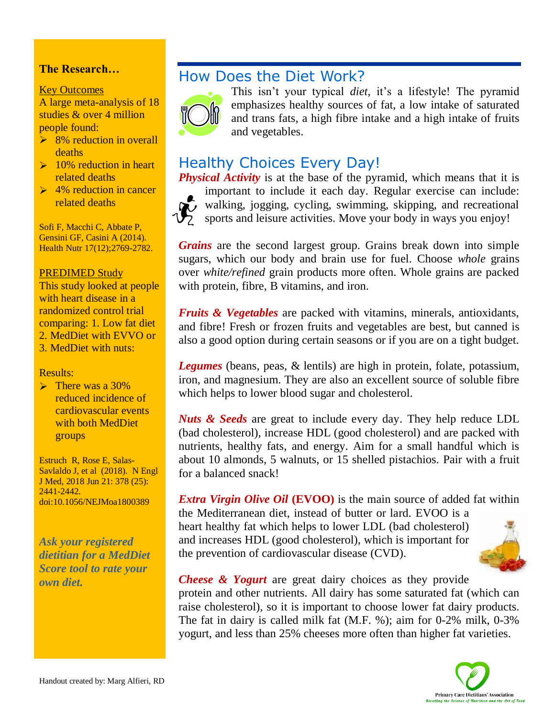### **The Research…**

#### Key Outcomes

A large meta-analysis of 18 studies & over 4 million people found:

- $\geq$  8% reduction in overall deaths
- $\geq 10\%$  reduction in heart related deaths
- $\geq 4\%$  reduction in cancer related deaths

Sofi F, Macchi C, Abbate P, Gensini GF, Casini A (2014). Health Nutr 17(12);2769-2782.

#### PREDIMED Study

This study looked at people with heart disease in a randomized control trial comparing: 1. Low fat diet 2. MedDiet with EVVO or 3. MedDiet with nuts:

Results:

 $\triangleright$  There was a 30% reduced incidence of cardiovascular events with both MedDiet groups

Estruch R, Rose E, Salas-Savlaldo J, et al (2018). N Engl J Med, 2018 Jun 21: 378 (25): 2441-2442. doi:10.1056/NEJMoa1800389

*Ask your registered dietitian for a MedDiet Score tool to rate your own diet.*

## How Does the Diet Work?



This isn't your typical *diet,* it's a lifestyle! The pyramid emphasizes healthy sources of fat, a low intake of saturated and trans fats, a high fibre intake and a high intake of fruits and vegetables.

## Healthy Choices Every Day!

*Physical Activity* is at the base of the pyramid, which means that it is important to include it each day. Regular exercise can include: walking, jogging, cycling, swimming, skipping, and recreational sports and leisure activities. Move your body in ways you enjoy!

*Grains* are the second largest group. Grains break down into simple sugars, which our body and brain use for fuel. Choose *whole* grains over *white/refined* grain products more often. Whole grains are packed with protein, fibre, B vitamins, and iron.

*Fruits & Vegetables* are packed with vitamins, minerals, antioxidants, and fibre! Fresh or frozen fruits and vegetables are best, but canned is also a good option during certain seasons or if you are on a tight budget.

*Legumes* (beans, peas, & lentils) are high in protein, folate, potassium, iron, and magnesium. They are also an excellent source of soluble fibre which helps to lower blood sugar and cholesterol.

*Nuts & Seeds* are great to include every day. They help reduce LDL (bad cholesterol), increase HDL (good cholesterol) and are packed with nutrients, healthy fats, and energy. Aim for a small handful which is about 10 almonds, 5 walnuts, or 15 shelled pistachios. Pair with a fruit for a balanced snack!

*Extra Virgin Olive Oil* (EVOO) is the main source of added fat within the Mediterranean diet, instead of butter or lard. EVOO is a heart healthy fat which helps to lower LDL (bad cholesterol) and increases HDL (good cholesterol), which is important for the prevention of cardiovascular disease (CVD).



*Cheese & Yogurt* are great dairy choices as they provide protein and other nutrients. All dairy has some saturated fat (which can raise cholesterol), so it is important to choose lower fat dairy products. The fat in dairy is called milk fat (M.F. %); aim for 0-2% milk, 0-3% yogurt, and less than 25% cheeses more often than higher fat varieties.